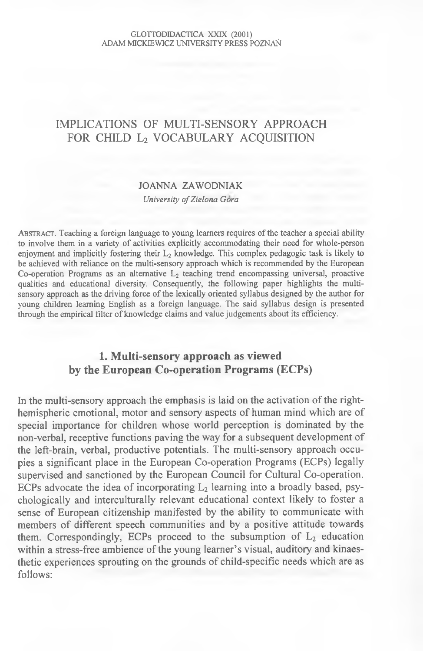#### GLOTTODIDACTICA XXIX (2001) ADAM MICKIEWICZ UNIVERSITY PRESS POZNAŃ

# **IMPLICATIONS OF MULTI-SENSORY APPROACH** FOR CHILD L<sub>2</sub> VOCABULARY ACQUISITION

### **JOANNA ZAWODNIAK**

#### *University ofZielona Gora*

ABSTRACT. Teaching a foreign language to young learners requires of the teacher a special ability to involve them in a variety of activities explicitly accommodating their need for whole-person **enjoyment and implicitly fostering their** *L2* **knowledge. This complex pedagogic task is likely to be achieved with reliance on the multi-sensory approach which is recommended by the European** Co-operation Programs as an alternative L<sub>2</sub> teaching trend encompassing universal, proactive **qualities and educational diversity. Consequently, the following paper highlights the multi**sensory approach as the driving force of the lexically oriented syllabus designed by the author for **young children learning English as a foreign language. The said syllabus design is presented** through the empirical filter of knowledge claims and value judgements about its efficiency.

# **1. Multi-sensory approach as viewed by the European Co-operation Programs (ECPs)**

In the multi-sensory approach the emphasis is laid on the activation of the righthemispheric emotional, motor and sensory aspects of human mind which are of special importance for children whose world perception is dominated by the non-verbal, receptive functions paving the way for a subsequent development of the left-brain, verbal, productive potentials. The multi-sensory approach occupies a significant place in the European Co-operation Programs (ECPs) legally supervised and sanctioned by the European Council for Cultural Co-operation. ECPs advocate the idea of incorporating  $L_2$  learning into a broadly based, psychologically and interculturally relevant educational context likely to foster a sense of European citizenship manifested by the ability to communicate with members of different speech communities and by a positive attitude towards them. Correspondingly, ECPs proceed to the subsumption of  $L_2$  education within a stress-free ambience of the young learner's visual, auditory and kinaesthetic experiences sprouting on the grounds of child-specific needs which are as follows: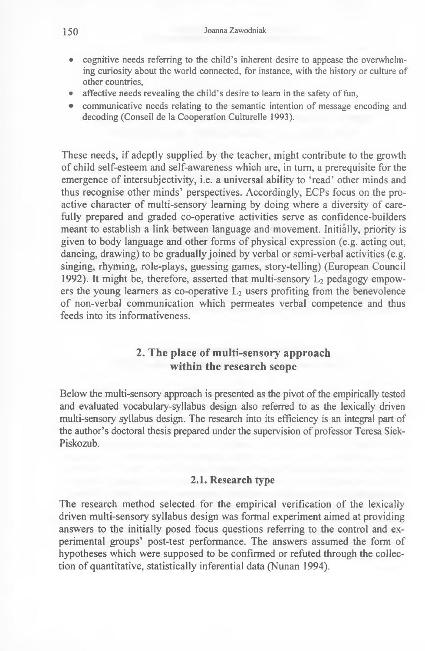- **cognitive needs referring to the child's inherent desire to appease the overwhelm**ing curiosity about the world connected, for instance, with the history or culture of **other countries,**
- affective needs revealing the child's desire to learn in the safety of fun,
- communicative needs relating to the semantic intention of message encoding and decoding (Conseil de la Cooperation Culturelle 1993).

These needs, if adeptly supplied by the teacher, might contribute to the growth of child self-esteem and self-awareness which are, in turn, a prerequisite for the emergence of intersubjectivity, i.e. a universal ability to 'read' other minds and thus recognise other minds' perspectives. Accordingly, ECPs focus on the proactive character of multi-sensory learning by doing where a diversity of carefully prepared and graded co-operative activities serve as confidence-builders meant to establish a link between language and movement. Initially, priority is given to body language and other forms of physical expression (e.g. acting out, dancing, drawing) to be gradually joined by verbal or semi-verbal activities (e.g. singing, rhyming, role-plays, guessing games, story-telling) (European Council 1992). It might be, therefore, asserted that multi-sensory  $L_2$  pedagogy empowers the young learners as co-operative  $L_2$  users profiting from the benevolence of non-verbal communication which permeates verbal competence and thus feeds into its informativeness.

# **2. The place of multi-sensory approach within the research scope**

Below the multi-sensory approach is presented as the pivot of the empirically tested and evaluated vocabulary-syllabus design also referred to as the lexically driven multi-sensory syllabus design. The research into its efficiency is an integral part of the author's doctoral thesis prepared under the supervision of professor Teresa Siek-Piskozub.

### **2.1. Research type**

The research method selected for the empirical verification of the lexically driven multi-sensory syllabus design was formal experiment aimed at providing answers to the initially posed focus questions referring to the control and experimental groups' post-test performance. The answers assumed the form of hypotheses which were supposed to be confirmed or refuted through the collection of quantitative, statistically inferential data (Nunan 1994).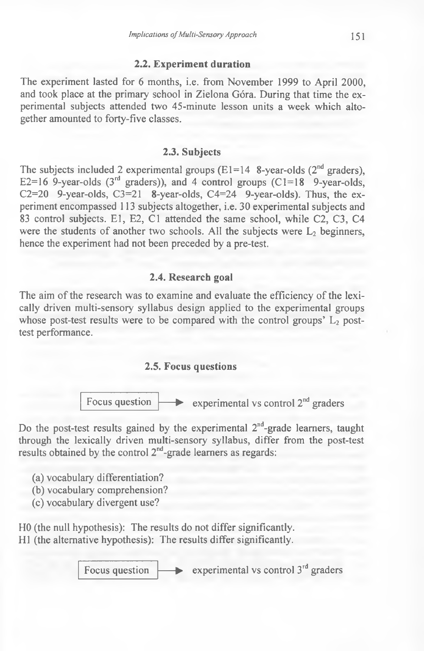#### **2.2. Experiment duration**

The experiment lasted for 6 months, i.e. from November 1999 to April 2000, and took place at the primary school in Zielona Góra. During that time the experimental subjects attended two 45-minute lesson units a week which altogether amounted to forty-five classes.

#### **2.3. Subjects**

The subjects included 2 experimental groups (E1=14 8-year-olds  $(2<sup>nd</sup>$  graders), E2=16 9-year-olds  $(3<sup>rd</sup>$  graders)), and 4 control groups  $(C=18$  9-year-olds, C2=20 9-year-olds,  $C3=21$  8-year-olds,  $C4=24$  9-year-olds). Thus, the experiment encompassed 113 subjects altogether, i.e. 30 experimental subjects and 83 control subjects. E1, E2, C1 attended the same school, while C2, C3, C4 were the students of another two schools. All the subjects were  $L_2$  beginners, hence the experiment had not been preceded by a pre-test.

#### **2.4. Research goal**

The aim of the research was to examine and evaluate the efficiency of the lexically driven multi-sensory syllabus design applied to the experimental groups whose post-test results were to be compared with the control groups'  $L_2$  posttest performance.

## **2.5. Focus questions**



Do the post-test results gained by the experimental  $2<sup>nd</sup>$ -grade learners, taught through the lexically driven multi-sensory syllabus, differ from the post-test results obtained by the control 2<sup>nd</sup>-grade learners as regards:

(a) vocabulary differentiation?

- (b) vocabulary comprehension?
- (c) vocabulary divergent use?

HO (the null hypothesis): The results do not differ significantly. HI (the alternative hypothesis): The results differ significantly.

Focus question  $\longrightarrow$  experimental vs control 3<sup>rd</sup> graders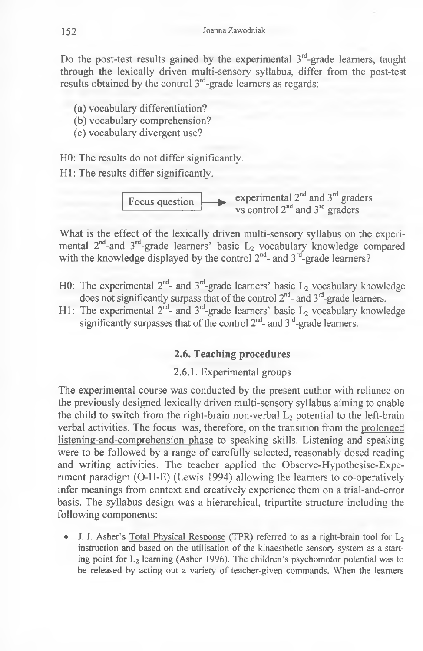Do the post-test results gained by the experimental  $3<sup>rd</sup>$ -grade learners, taught through the lexically driven multi-sensory syllabus, differ from the post-test results obtained by the control  $3<sup>rd</sup>$ -grade learners as regards:

- (a) vocabulary differentiation?
- (b) vocabulary comprehension?
- (c) vocabulary divergent use?

HO: The results do not differ significantly.

HI: The results differ significantly.



What is the effect of the lexically driven multi-sensory syllabus on the experimental  $2^{\mu}$ -and  $3^{\mu}$ -grade learners' basic  $L_2$  vocabulary knowledge compared with the knowledge displayed by the control  $2<sup>nd</sup>$ - and  $3<sup>nd</sup>$ -grade learners?

- H0: The experimental  $2^{nd}$  and  $3^{rd}$ -grade learners' basic  $L_2$  vocabulary knowledge does not significantly surpass that of the control  $2<sup>nd</sup>$ - and  $3<sup>rd</sup>$ -grade learners.
- H1: The experimental  $2^{nd}$  and  $3^{rd}$ -grade learners' basic  $L_2$  vocabulary knowledge significantly surpasses that of the control  $2^{nd}$ - and  $3^{rd}$ -grade learners.

## **2.6. Teaching procedures**

2.6.1. Experimental groups

The experimental course was conducted by the present author with reliance on the previously designed lexically driven multi-sensory syllabus aiming to enable the child to switch from the right-brain non-verbal  $L_2$  potential to the left-brain verbal activities. The focus was, therefore, on the transition from the prolonged listening-and-comprehension phase to speaking skills. Listening and speaking were to be followed by a range of carefully selected, reasonably dosed reading and writing activities. The teacher applied the Observe-Hypothesise-Experiment paradigm (O-H-E) (Lewis 1994) allowing the learners to co-operatively infer meanings from context and creatively experience them on a trial-and-error basis. The syllabus design was a hierarchical, tripartite structure including the following components:

**J. J. Asher's Total Physical Response (TPR) referred to as a right-brain tool for L<sub>2</sub>** instruction and based on the utilisation of the kinaesthetic sensory system as a start**ing point for L2 learning (Asher 1996). The children's psychomotor potential was to** be released by acting out a variety of teacher-given commands. When the learners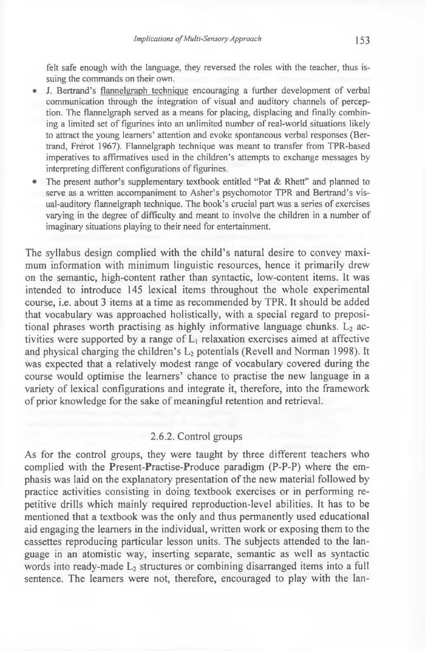**felt safe enough with the language, they reversed the roles with the teacher, thus issuing the commands on their own.**

- J. Bertrand's flannelgraph technique encouraging a further development of verbal communication through the integration of visual and auditory channels of percep**tion. The flannelgraph served as a means for placing, displacing and finally combin**ing a limited set of figurines into an unlimited number of real-world situations likely **to attract the young learners' attention and evoke spontaneous verbal responses (Bertrand, Frerot 1967). Flannelgraph technique was meant to transfer from TPR-based** imperatives to affirmatives used in the children's attempts to exchange messages by interpreting different configurations of figurines.
- **The present author's supplementary textbook entitled "Pat & Rhett" and planned to serve as a written accompaniment to Asher's psychomotor TPR and Bertrand's vis**ual-auditory flannelgraph technique. The book's crucial part was a series of exercises varying in the degree of difficulty and meant to involve the children in a number of **imaginary situations playing to their need for entertainment.**

The syllabus design complied with the child's natural desire to convey maximum information with minimum linguistic resources, hence it primarily drew on the semantic, high-content rather than syntactic, low-content items. It was intended to introduce 145 lexical items throughout the whole experimental course, i.e. about 3 items at a time as recommended by TPR. It should be added that vocabulary was approached holistically, with a special regard to prepositional phrases worth practising as highly informative language chunks.  $L<sub>2</sub>$  activities were supported by a range of L, relaxation exercises aimed at affective and physical charging the children's  $L<sub>2</sub>$  potentials (Revell and Norman 1998). It was expected that a relatively modest range of vocabulary covered during the course would optimise the learners' chance to practise the new language in a variety of lexical configurations and integrate it, therefore, into the framework of prior knowledge for the sake of meaningful retention and retrieval.

#### 2.6.2. Control groups

As for the control groups, they were taught by three different teachers who complied with the Present-Practise-Produce paradigm (P-P-P) where the emphasis was laid on the explanatory presentation of the new material followed by practice activities consisting in doing textbook exercises or in performing repetitive drills which mainly required reproduction-level abilities. It has to be mentioned that a textbook was the only and thus permanently used educational aid engaging the learners in the individual, written work or exposing them to the cassettes reproducing particular lesson units. The subjects attended to the language in an atomistic way, inserting separate, semantic as well as syntactic words into ready-made  $L_2$  structures or combining disarranged items into a full sentence. The learners were not, therefore, encouraged to play with the lan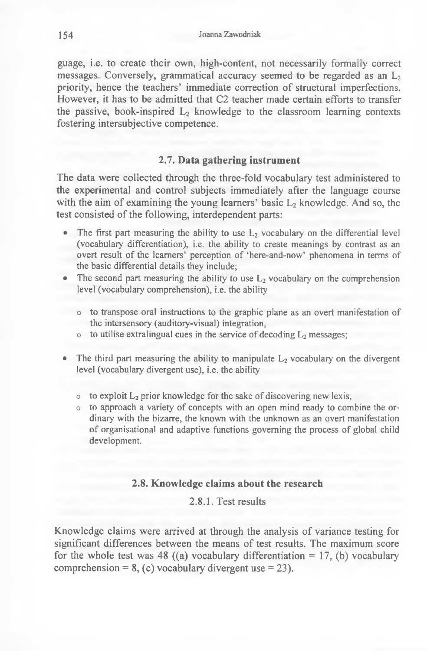guage, i.e. to create their own, high-content, not necessarily formally correct messages. Conversely, grammatical accuracy seemed to be regarded as an  $L<sub>2</sub>$ priority, hence the teachers' immediate correction of structural imperfections. However, it has to be admitted that C2 teacher made certain efforts to transfer the passive, book-inspired  $L<sub>2</sub>$  knowledge to the classroom learning contexts fostering intersubjective competence.

# **2.7. Data gathering instrument**

The data were collected through the three-fold vocabulary test administered to the experimental and control subjects immediately after the language course with the aim of examining the young learners' basic  $L_2$  knowledge. And so, the test consisted of the following, interdependent parts:

- The first part measuring the ability to use L<sub>2</sub> vocabulary on the differential level **(vocabulary differentiation), i.e. the ability to create meanings by contrast as an** overt result of the learners' perception of 'here-and-now' phenomena in terms of **the basic differential details they include;**
- The second part measuring the ability to use  $L_2$  vocabulary on the comprehension level (vocabulary comprehension), *i.e.* the ability
	- $\circ$  to transpose oral instructions to the graphic plane as an overt manifestation of **the intersensory (auditory-visual) integration,**
	- $\circ$  to utilise extralingual cues in the service of decoding  $L_2$  messages;
- The third part measuring the ability to manipulate L<sub>2</sub> vocabulary on the divergent **level (vocabulary divergent use), i.e. the ability**
	- **o** to exploit L<sub>2</sub> prior knowledge for the sake of discovering new lexis,
	- $\circ$  to approach a variety of concepts with an open mind ready to combine the or**dinary with the bizarre, the known with the unknown as an overt manifestation** of organisational and adaptive functions governing the process of global child development.

## **2.8. Knowledge claims about the research**

2.8.1. Test results

Knowledge claims were arrived at through the analysis of variance testing for significant differences between the means of test results. The maximum score for the whole test was 48 ((a) vocabulary differentiation  $= 17$ , (b) vocabulary comprehension =  $8$ , (c) vocabulary divergent use = 23).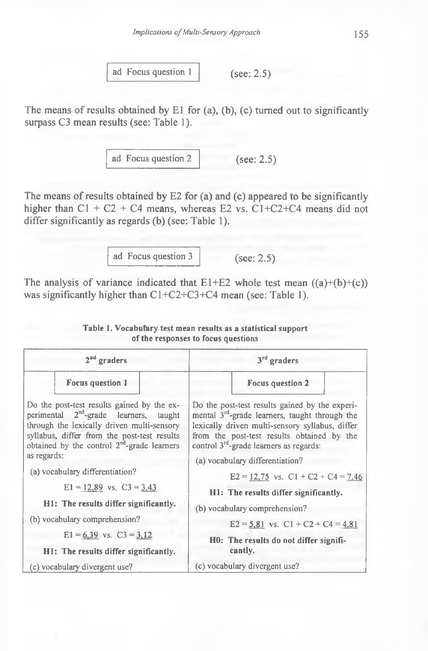ad Focus question 1 (see: 2.5)

The means of results obtained by E1 for (a), (b), (c) turned out to significantly surpass C3 mean results (see: Table 1).

ad Focus question 2 (see: 2.5)

The means of results obtained by  $E2$  for (a) and (c) appeared to be significantly higher than  $C1 + C2 + C4$  means, whereas E2 vs.  $C1+C2+C4$  means did not differ significantly as regards (b) (see: Table 1).

ad Focus question 3 (see: 2.5)

The analysis of variance indicated that  $E1+E2$  whole test mean  $((a)+(b)+(c))$ was significantly higher than C1+C2+C3+C4 mean (see: Table 1).

| $2nd$ graders                                                                                                                                                                                                                                            | $3rd$ graders                                                                                                                                                                                                                                       |
|----------------------------------------------------------------------------------------------------------------------------------------------------------------------------------------------------------------------------------------------------------|-----------------------------------------------------------------------------------------------------------------------------------------------------------------------------------------------------------------------------------------------------|
| <b>Focus question 1</b>                                                                                                                                                                                                                                  | <b>Focus question 2</b>                                                                                                                                                                                                                             |
| Do the post-test results gained by the ex-<br>perimental 2 <sup>nd</sup> -grade learners, taught<br>through the lexically driven multi-sensory<br>syllabus, differ from the post-test results<br>obtained by the control 2 <sup>nd</sup> -grade learners | Do the post-test results gained by the experi-<br>mental $3^{rd}$ -grade learners, taught through the<br>lexically driven multi-sensory syllabus, differ<br>from the post-test results obtained by the<br>control $3rd$ -grade learners as regards: |
| as regards:                                                                                                                                                                                                                                              | (a) vocabulary differentiation?                                                                                                                                                                                                                     |
| (a) vocabulary differentiation?                                                                                                                                                                                                                          | $E2 = 12,75$ vs. $C1 + C2 + C4 = 7,46$                                                                                                                                                                                                              |
| $E1 = 12,89$ vs. $C3 = 3,43$                                                                                                                                                                                                                             | H1: The results differ significantly.                                                                                                                                                                                                               |
| H1: The results differ significantly.                                                                                                                                                                                                                    | (b) vocabulary comprehension?                                                                                                                                                                                                                       |
| (b) vocabulary comprehension?                                                                                                                                                                                                                            | $E2 = 5,81$ vs. $C1 + C2 + C4 = 4,81$                                                                                                                                                                                                               |
| $E1 = 6.39$ vs. $C3 = 3.12$<br>H1: The results differ significantly.                                                                                                                                                                                     | HO: The results do not differ signifi-<br>cantly.                                                                                                                                                                                                   |
| (c) vocabulary divergent use?                                                                                                                                                                                                                            | (c) vocabulary divergent use?                                                                                                                                                                                                                       |

#### **Table 1. Vocabulary test mean results as a statistical support of the responses to focus questions**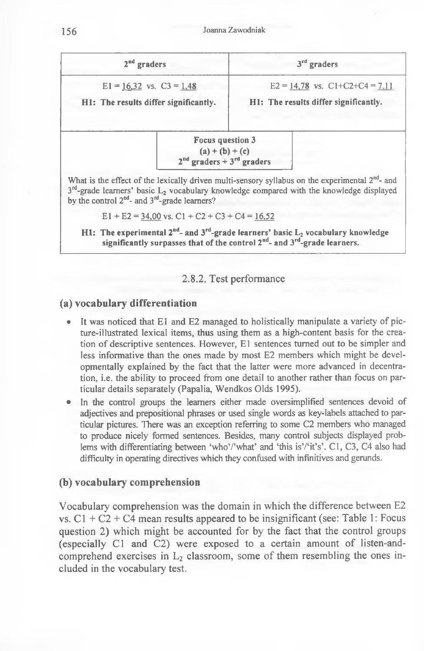**156** Joanna Zawodniak

| $2nd$ graders                                                         |                                                                                       | $3rd$ graders                                                               |
|-----------------------------------------------------------------------|---------------------------------------------------------------------------------------|-----------------------------------------------------------------------------|
| $E1 = 16.32$ vs. $C3 = 1.48$<br>H1: The results differ significantly. |                                                                                       | $E2 = 14,78$ vs. $C1+C2+C4 = 7,11$<br>H1: The results differ significantly. |
|                                                                       | <b>Focus question 3</b><br>(a) + (b) + (c)<br>$2nd$ graders + 3 <sup>rd</sup> graders |                                                                             |

 $3<sup>rd</sup>$ -grade learners' basic L<sub>2</sub> vocabulary knowledge compared with the knowledge displayed **by the control 2nd- and 3rd-grade learners?**

 $E1 + E2 = 34,00$  vs.  $C1 + C2 + C3 + C4 = 16,52$ 

H1: The experimental 2<sup>nd</sup>- and 3<sup>rd</sup>-grade learners' basic L<sub>2</sub> vocabulary knowledge **significantly surpasses that of the control 2nd- and 3rd-grade learners.**

#### 2.8.2. Test performance

## **(a) vocabulary differentiation**

- It was noticed that E1 and E2 managed to holistically manipulate a variety of pic**ture-illustrated lexical items, thus using them as a high-content basis for the crea**tion of descriptive sentences. However, E1 sentences turned out to be simpler and less informative than the ones made by most E2 members which might be developmentally explained by the fact that the latter were more advanced in decentra**tion, i.e. the ability to proceed from one detail to another rather than focus on particular details separately (Papalia, W endkos Olds 1995).**
- In the control groups the learners either made oversimplified sentences devoid of **adjectives and prepositional phrases or used single words as key-labels attached to particular pictures. There was an exception referring to some C2 members who managed to produce nicely formed sentences. Besides, many control subjects displayed prob**lems with differentiating between 'who'/'what' and 'this is'/'it's'. C1, C3, C4 also had **difficulty in operating directives which they confused with infinitives and gerunds.**

## **(b) vocabulary comprehension**

Vocabulary comprehension was the domain in which the difference between E2 vs.  $C1 + C2 + C4$  mean results appeared to be insignificant (see: Table 1: Focus question 2) which might be accounted for by the fact that the control groups (especially Cl and C2) were exposed to a certain amount of listen-andcomprehend exercises in  $L<sub>2</sub>$  classroom, some of them resembling the ones included in the vocabulary test.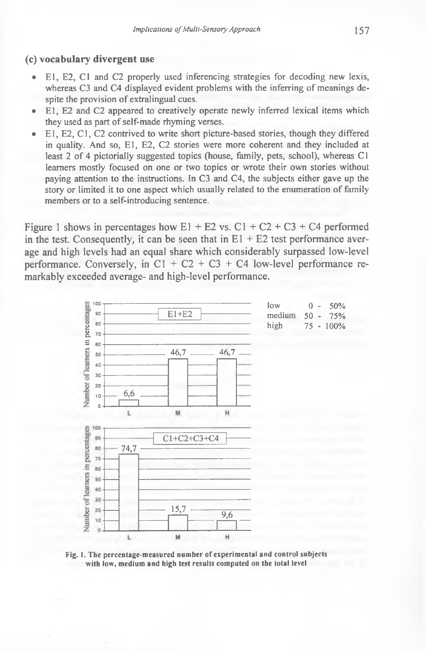### **(c) vocabulary divergent use**

- **E l, E2, C l and C2 properly used inferencing strategies for decoding new lexis,** whereas C3 and C4 displayed evident problems with the inferring of meanings despite the provision of extralingual cues.
- E1, E2 and C2 appeared to creatively operate newly inferred lexical items which they used as part of self-made rhyming verses.
- **E l, E2, C l, C2 contrived to write short picture-based stories, though they differed** in quality. And so, E1, E2, C2 stories were more coherent and they included at least 2 of 4 pictorially suggested topics (house, family, pets, school), whereas C1 **learners m ostly focused on one or two topics or wrote their own stories without paying attention to the instructions. In C3 and C4, the subjects either gave up the** story or limited it to one aspect which usually related to the enumeration of family **members or to a self-introducing sentence.**

Figure 1 shows in percentages how  $E1 + E2$  vs.  $C1 + C2 + C3 + C4$  performed in the test. Consequently, it can be seen that in  $E1 + E2$  test performance average and high levels had an equal share which considerably surpassed low-level performance. Conversely, in C1 + C2 + C3 + C4 low-level performance remarkably exceeded average- and high-level performance.



**Fig. 1. The percentage-measured number of experimental and control subjects with low, medium and high test results computed on the total level**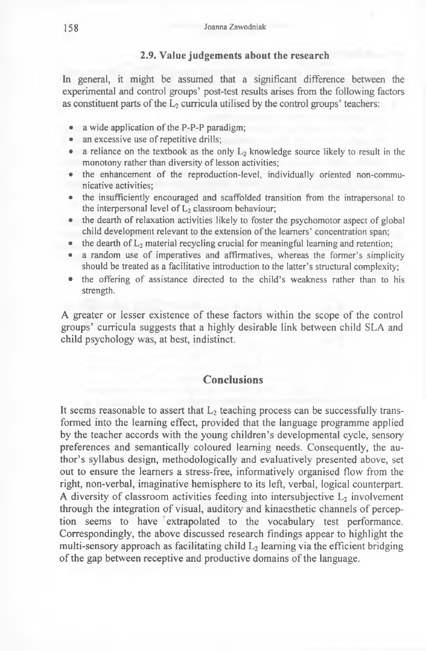### **2.9. Value judgements about the research**

In general, it might be assumed that a significant difference between the experimental and control groups' post-test results arises from the following factors as constituent parts of the  $L_2$  curricula utilised by the control groups' teachers:

- a wide application of the P-P-P paradigm;
- an excessive use of repetitive drills;
- a reliance on the textbook as the only L<sub>2</sub> knowledge source likely to result in the monotony rather than diversity of lesson activities;
- the enhancement of the reproduction-level, individually oriented non-commu**nicative activities;**
- **the insufficiently encouraged and scaffolded transition from the intrapersonal to** the interpersonal level of  $L<sub>2</sub>$  classroom behaviour;
- the dearth of relaxation activities likely to foster the psychomotor aspect of global child development relevant to the extension of the learners' concentration span;
- $\bullet$  the dearth of  $L_2$  material recycling crucial for meaningful learning and retention;
- a random use of imperatives and affirmatives, whereas the former's simplicity **should be treated as a facilitative introduction to the latter's structural complexity;**
- the offering of assistance directed to the child's weakness rather than to his **strength.**

A greater or lesser existence of these factors within the scope of the control groups' curricula suggests that a highly desirable link between child SLA and child psychology was, at best, indistinct.

## **Conclusions**

It seems reasonable to assert that  $L_2$  teaching process can be successfully transformed into the learning effect, provided that the language programme applied by the teacher accords with the young children's developmental cycle, sensory preferences and semantically coloured learning needs. Consequently, the author's syllabus design, methodologically and evaluatively presented above, set out to ensure the learners a stress-free, informatively organised flow from the right, non-verbal, imaginative hemisphere to its left, verbal, logical counterpart. A diversity of classroom activities feeding into intersubjective  $L_2$  involvement through the integration of visual, auditory and kinaesthetic channels of perception seems to have extrapolated to the vocabulary test performance. Correspondingly, the above discussed research findings appear to highlight the multi-sensory approach as facilitating child  $L<sub>2</sub>$  learning via the efficient bridging of the gap between receptive and productive domains of the language.